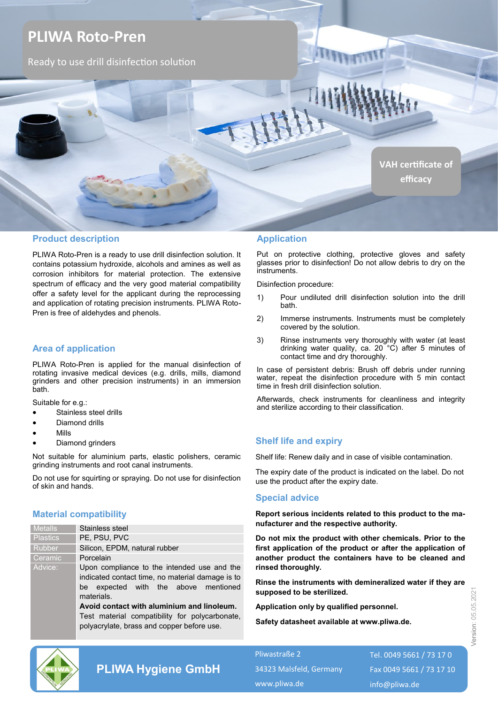

## **Product description**

PLIWA Roto-Pren is a ready to use drill disinfection solution. It contains potassium hydroxide, alcohols and amines as well as corrosion inhibitors for material protection. The extensive spectrum of efficacy and the very good material compatibility offer a safety level for the applicant during the reprocessing and application of rotating precision instruments. PLIWA Roto-Pren is free of aldehydes and phenols.

## **Area of application**

PLIWA Roto-Pren is applied for the manual disinfection of rotating invasive medical devices (e.g. drills, mills, diamond grinders and other precision instruments) in an immersion bath.

Suitable for e.g.:

- Stainless steel drills
- Diamond drills
- Mills
- Diamond grinders

Not suitable for aluminium parts, elastic polishers, ceramic grinding instruments and root canal instruments.

Do not use for squirting or spraying. Do not use for disinfection of skin and hands.

### **Material compatibility**

| <b>Metalls</b>  | Stainless steel                                                                                                                                                                                                                                                                                     |
|-----------------|-----------------------------------------------------------------------------------------------------------------------------------------------------------------------------------------------------------------------------------------------------------------------------------------------------|
| <b>Plastics</b> | PE, PSU, PVC                                                                                                                                                                                                                                                                                        |
| Rubber          | Silicon, EPDM, natural rubber                                                                                                                                                                                                                                                                       |
| Ceramic         | Porcelain                                                                                                                                                                                                                                                                                           |
| Advice:         | Upon compliance to the intended use and the<br>indicated contact time, no material damage is to<br>be expected with the above mentioned<br>materials.<br>Avoid contact with aluminium and linoleum.<br>Test material compatibility for polycarbonate,<br>polyacrylate, brass and copper before use. |

#### **Application**

Put on protective clothing, protective gloves and safety glasses prior to disinfection! Do not allow debris to dry on the instruments.

Disinfection procedure:

- 1) Pour undiluted drill disinfection solution into the drill bath.
- 2) Immerse instruments. Instruments must be completely covered by the solution.
- 3) Rinse instruments very thoroughly with water (at least drinking water quality, ca. 20 °C) after 5 minutes of contact time and dry thoroughly.

In case of persistent debris: Brush off debris under running water, repeat the disinfection procedure with 5 min contact time in fresh drill disinfection solution.

Afterwards, check instruments for cleanliness and integrity and sterilize according to their classification.

### **Shelf life and expiry**

Shelf life: Renew daily and in case of visible contamination.

The expiry date of the product is indicated on the label. Do not use the product after the expiry date.

#### **Special advice**

**Report serious incidents related to this product to the manufacturer and the respective authority.**

**Do not mix the product with other chemicals. Prior to the first application of the product or after the application of another product the containers have to be cleaned and rinsed thoroughly.**

**Rinse the instruments with demineralized water if they are supposed to be sterilized.** 

**Application only by qualified personnel.** 

**Safety datasheet available at www.pliwa.de.**



# **PLIWA Hygiene GmbH**

Pliwastraße 2 34323 Malsfeld, Germany www.pliwa.de

Tel. 0049 5661 / 73 17 0 Fax 0049 5661 / 73 17 10 info@pliwa.de

Version: 05.05.2021

Version: 05.05.202